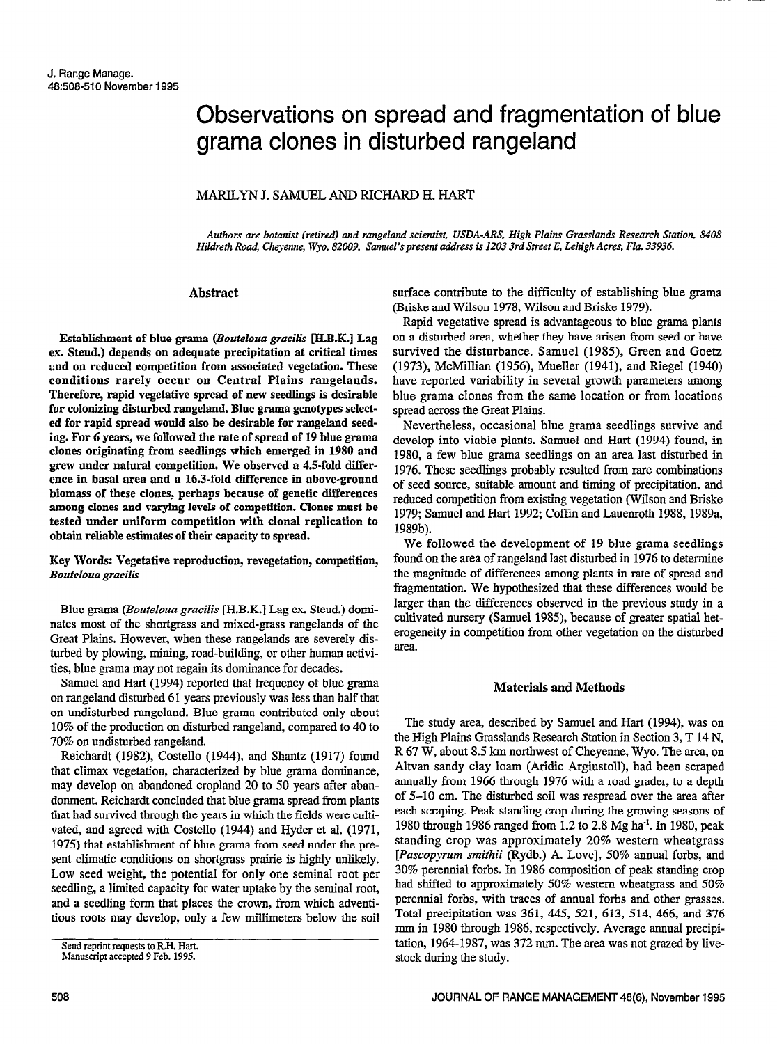# Observations on spread and fragmentation of blue grama clones in disturbed rangeland

## MARILYN J. SAMUEL AND RICHARD H. HART

Authors are botanist (retired) and rangeland scientist, USDA-ARS, High Plains Grasslands Research Station, 840s Hildreth Road, Cheyenne, Wyo. 82009. Samuel's present address is I203 3rd Street E, Lehigh Acres, Flu. 33936.

## Abstract

Establishment of blue grama (Bouteloua gracilis [BIB.K.] Lag ex. Steud.) depends on adequate precipitation at critical times and on reduced competition from associated vegetation. These conditions rarely occur on Central Plains rangelands. Therefore, rapid vegetative spread of new seedlings is desirable for colonizing disturbed rangeland. Blue grama genotypes selected for rapid spread would also be desirable for rangeland seeding. For 6 years, we followed the rate of spread of 19 blue grama clones originating from seedlings which emerged in 1980 and grew under natural competition. We observed a 4.5-fold difference in basal area and a 16.3-fold difference in above-ground biomass of these clones, perhaps because of genetic differences among clones and varying levels of competition. Clones must he tested under uniform competition with clonal replication to obtain reliable estimates of their capacity to spread.

Key Words: Vegetative reproduction, revegetation, competition, Bouteloua gracilis

Blue grama (Bouteloua gracilis [H.B.K.] Lag ex. Steud.) dominates most of the shortgrass and mixed-grass rangelands of the Great Plains. However, when these rangelands are severely disturbed by plowing, mining, road-building, or other human activities, blue grama may not regain its dominance for decades.

Samuel and Hart (1994) reported that frequency of blue grama on rangeland disturbed 61 years previously was less than half that on undisturbed rangeland. Blue grama contributed only about 10% of the production on disturbed raugeland, compared to 40 to 70% on undisturbed rangeland.

Reichardt (1982), Costello (1944), and Shantz (1917) found that climax vegetation, characterized by blue grama dominance, may develop on abandoned cropland 20 to 50 years after abandonment. Reichardt concluded that blue grama spread from plants that had survived through the years in which the fields were cultivated, and agreed with Costello (1944) and Hyder et al. (1971, 1975) that establishment of blue grama from seed under the present climatic conditions on shortgrass prairie is highly unlikely. Low seed weight, the potential for only one seminal root per seedling, a limited capacity for water uptake by the seminal root, and a seedling form that places the crown, from which adventitious roots may develop, only a few millimeters below the soil surface contribute to the difficulty of establishing blue grama (Briske and Wilson 1978, Wilson and Briske 1979).

Rapid vegetative spread is advantageous to blue grama plants on a disturbed area, whether they have arisen from seed or have survived the disturbance. Samuel (1985), Green and Goetz (1973), McMillian (1956), Mueller (1941), and Riegel (1940) have reported variability in several growth parameters among blue grama clones from the same location or from locations spread across the Great Plains.

Nevertheless, occasional blue grama seedlings survive and develop into viable plants. Samuel and Hart (1994) found, in 1980, a few blue grama seedlings on an area last disturbed in 1976. These seedlings probably resulted from rare combinations of seed sonrce, suitable amount and timing of precipitation, and reduced competition from existing vegetation (Wilson and Briske 1979; Samuel and Hart 1992; Coffin and Lauenroth 1988,1989a, 1989b).

We followed the development of 19 blue grama seedlings found on the area of rangeland last disturbed in 1976 to determine the magnitude of differences among plants in rate of spread and fragmentation. We hypothesized that these differences would be larger than the differences observed in the previous study in a cultivated nursery (Samuel 1985), because of greater spatial heterogeneity in competition from other vegetation on the disturbed area.

## Materials and Methods

The study area, described by Samuel and Hart (1994), was on the High Plains Grasslands Research Station in Section 3, T 14 N, R 67 W, about 8.5 km northwest of Cheyenne, Wyo. The area, on Altvan sandy clay loam (Aridic Argiustoll), had been scraped annually from 1966 through 1976 with a road grader, to a depth of 5-10 cm. The disturbed soil was respread over the area after each scraping. Peak standing crop during the growing seasons of 1980 through 1986 ranged from 1.2 to 2.8 Mg ha<sup>-1</sup>. In 1980, peak standing crop was approximately 20% western wheatgrass [Pascopyrum smithii (Rydb.) A. Love], 50% annual forbs, and 30% perennial forbs. In 1986 composition of peak standing crop had shifted to approximately 50% western wheatgrass and 50% perennial forbs, with traces of annual forbs and other grasses. Total precipitation was 361, 445, 521, 613, 514, 466, and 376 mm in 1980 through 1986, respectively. Average annual precipitation, 1964-1987, was 372 mm. The area was not grazed by livestock during the study.

Send reprint requests to R.H. Hart.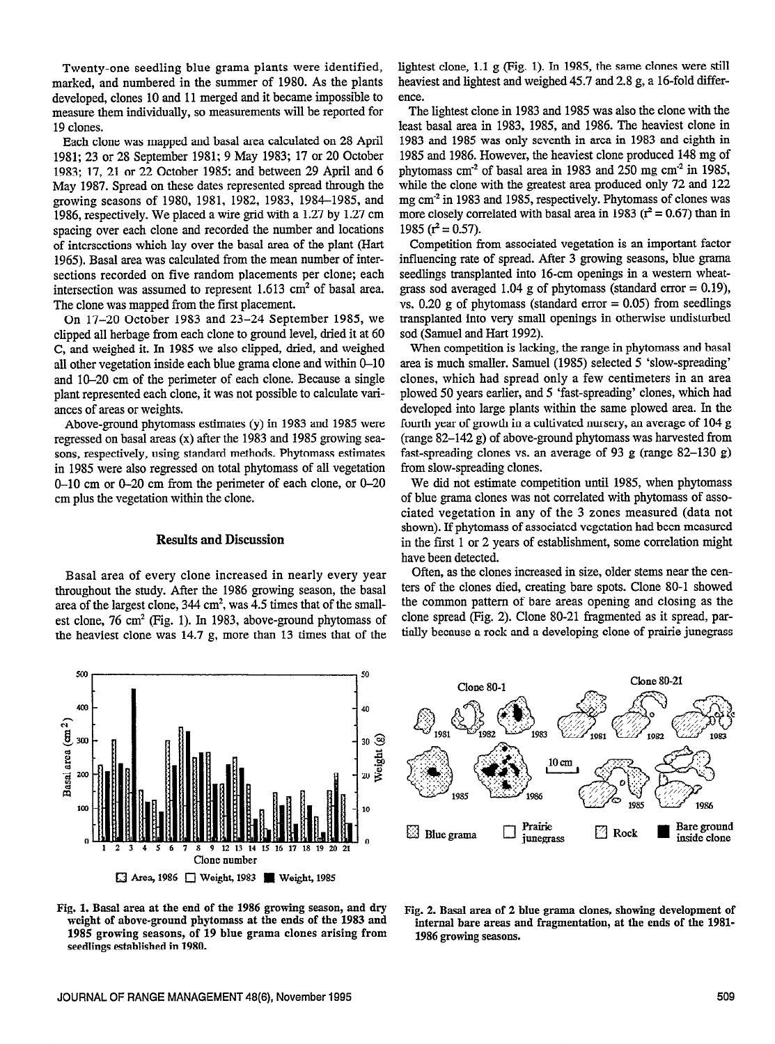Twenty-one seedling blue grama plants were identified, marked, and numbered in the summer of 1980. As the plants developed, clones 10 and 11 merged and it became impossible to measure them individually, so measurements will be reported for 19 clones.

Each clone was mapped and basal area calculated on 28 April 1981; 23 or 28 September 1981; 9 May 1983; 17 or 20 October 1983; 17, 21 or 22 October 1985; and between 29 April and 6 May 1987. Spread on these dates represented spread through the growing seasons of 1980, 1981, 1982, 1983, 1984-1985, and 1986, respectively. We placed a wire grid with a 1.27 by 1.27 cm spacing over each clone and recorded the number and locations of intersections which lay over the basal area of the plant (Hart 1965). Basal area was calculated from the mean number of intersections recorded on five random placements per clone; each intersection was assumed to represent 1.613 cm' of basal area. The clone was mapped from the first placement.

On 17-20 October 1983 and 23-24 September 1985, we clipped all herbage from each clone to ground level, dried it at 60 C, and weighed it. In 1985 we also clipped, dried, and weighed all other vegetation inside each blue grama clone and within O-10 and 10-20 cm of the perimeter of each clone. Because a single plant represented each clone, it was not possible to calculate variances of areas or weights.

Above-ground phytomass estimates (y) in 1983 and 1985 were regressed on basal areas (x) after the 1983 and 1985 growing seasons, respectively, using standard methods. Phytomass estimates in 1985 were also regressed on total phytomass of all vegetation O-10 cm or O-20 cm from the perimeter of each clone, or O-20 cm plus the vegetation within the clone.

#### Results and Discussion

throughout the study. After the 1986 growing season, the basal ters of the clones died, creating bare spots. Clone 80-1 showed area of the largest clone 344 cm<sup>2</sup> was 4.5 times that of the small-<br>the common pattern of bar area of the largest clone,  $344 \text{ cm}^2$ , was  $4.5$  times that of the smallest clone, 76 cm<sup>2</sup> (Fig. 1). In 1983, above-ground phytomass of clone spread (Fig. 2). Clone 80-21 fragmented as it spread, par-<br>the beaviest clone was 14.7 g more than 13 times that of the tially because a rock and a de the heaviest clone was  $14.7$  g, more than 13 times that of the

lightest clone, 1.1 g (Fig. 1). In 1985, the same clones were still heaviest and lightest and weighed 45.7 and 2.8 g, a 16-fold difference.

The lightest clone in 1983 and 1985 was also the clone with the least basal area in 1983, 1985, and 1986. The heaviest clone in 1983 and 1985 was only seventh in area in 1983 and eighth in 1985 and 1986. However, the heaviest clone produced 148 mg of phytomass  $cm<sup>2</sup>$  of basal area in 1983 and 250 mg  $cm<sup>2</sup>$  in 1985, while the clone with the greatest area produced only 72 and 122 mg  $\text{cm}^2$  in 1983 and 1985, respectively. Phytomass of clones was more closely correlated with basal area in 1983 ( $r^2 = 0.67$ ) than in 1985 ( $r^2$  = 0.57).

Competition from associated vegetation is an important factor influencing rate of spread. After 3 growing seasons, blue grama seedlings transplanted into 16-cm openings in a western wheatgrass sod averaged 1.04 g of phytomass (standard error  $= 0.19$ ), vs. 0.20 g of phytomass (standard error  $= 0.05$ ) from seedlings transplanted into very small openings in otherwise undisturbed sod (Samuel and Hart 1992).

When competition is lacking, the range in phytomass and basal area is much smaller. Samuel (1985) selected 5 'slow-spreading' clones, which had spread only a few centimeters in an area plowed 50 years earlier, and 5 'fast-spreading' clones, which had developed into large plants within the same plowed area. In the fourth year of growth in a cultivated nursery, an average of 104 g (range 82-142 g) of above-ground phytomass was harvested from fast-spreading clones vs. an average of 93 g (range  $82-130$  g) from slow-spreading clones.

We did not estimate competition until 1985, when phytomass of blue grama clones was not correlated with phytomass of associated vegetation in any of the 3 zones measured (data not shown). If phytomass of associated vegetation had been measured in the first 1 or 2 years of establishment, some correlation might have been detected.

Basal area of every clone increased in nearly every year Often, as the clones increased in size, older stems near the cen-<br>proughout the study After the 1986 growing season the hasal ters of the clones died, creating bare





Fig. 1. Basal area at the end of the 1986 growing season, and dry weight of above-ground phytomass at the ends of the 1983 and 1985 growing seasons, of 19 blue grama clones arising from seedlings established in 1980.